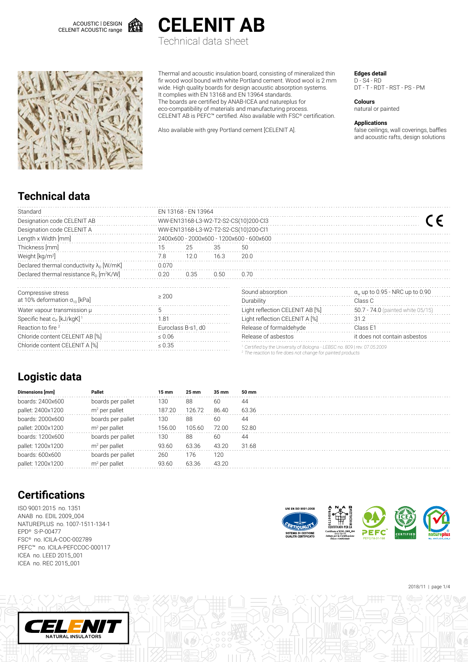



Technical data sheet



Thermal and acoustic insulation board, consisting of mineralized thin fir wood wool bound with white Portland cement. Wood wool is 2 mm wide. High quality boards for design acoustic absorption systems. It complies with EN 13168 and EN 13964 standards. The boards are certified by ANAB-ICEA and natureplus for eco-compatibility of materials and manufacturing process. CELENIT AB is PEFC™ certified. Also available with FSC® certification.

Also available with grey Portland cement [CELENIT A].

**Edges detail**

D - S4 - RD DT - T - RDT - RST - PS - PM

**Colours** natural or painted

**Applications**

false ceilings, wall coverings, baffles and acoustic rafts, design solutions

### **Technical data**

| Standard                                               | EN 13168 - EN 13964                  |                                          |      |                                                                                                                                                                 |                                              |  |  |  |  |  |
|--------------------------------------------------------|--------------------------------------|------------------------------------------|------|-----------------------------------------------------------------------------------------------------------------------------------------------------------------|----------------------------------------------|--|--|--|--|--|
| Designation code CELENIT AB                            | WW-EN13168-L3-W2-T2-S2-CS(10)200-Cl3 |                                          |      |                                                                                                                                                                 |                                              |  |  |  |  |  |
| Designation code CELENIT A                             | WW-EN13168-L3-W2-T2-S2-CS(10)200-Cl1 |                                          |      |                                                                                                                                                                 |                                              |  |  |  |  |  |
| Length x Width [mm]                                    |                                      | 2400x600 - 2000x600 - 1200x600 - 600x600 |      |                                                                                                                                                                 |                                              |  |  |  |  |  |
| Thickness [mm]                                         | 15                                   | 25                                       | 35   | 50                                                                                                                                                              |                                              |  |  |  |  |  |
| Weight [kg/m <sup>2]</sup>                             | 7.8                                  | 12.0                                     | 16.3 | 20.0                                                                                                                                                            |                                              |  |  |  |  |  |
| Declared thermal conductivity $\lambda_{D}$ [W/mK]     | 0.070                                |                                          |      |                                                                                                                                                                 |                                              |  |  |  |  |  |
| Declared thermal resistance $R_0$ [m <sup>2</sup> K/W] | 0.20                                 | 0.35                                     | 0.50 | 0.70                                                                                                                                                            |                                              |  |  |  |  |  |
| Compressive stress                                     |                                      |                                          |      | Sound absorption                                                                                                                                                | $\alpha_{\rm w}$ up to 0.95 - NRC up to 0.90 |  |  |  |  |  |
| at 10% deformation $\sigma_{10}$ [kPa]                 | $\geq$ 200                           |                                          |      | Durability                                                                                                                                                      | Class C                                      |  |  |  |  |  |
| Water vapour transmission µ                            | 5                                    |                                          |      | Light reflection CELENIT AB [%]                                                                                                                                 | 50.7 - 74.0 (painted white 05/15)            |  |  |  |  |  |
| Specific heat c <sub>p</sub> [kJ/kgK] <sup>1</sup>     | 1.81                                 |                                          |      | Light reflection CELENIT A [%]                                                                                                                                  | 31.2                                         |  |  |  |  |  |
| Reaction to fire <sup>2</sup>                          |                                      | Euroclass B-s1, d0                       |      | Release of formaldehyde                                                                                                                                         | Class E1                                     |  |  |  |  |  |
| Chloride content CELENIT AB [%]                        | $\leq 0.06$                          |                                          |      | Release of asbestos<br>it does not contain asbestos                                                                                                             |                                              |  |  |  |  |  |
| Chloride content CELENIT A [%]                         | $\leq 0.35$                          |                                          |      | <sup>1</sup> Certified by the University of Bologna - LEBSC no. 809   rev. 07.05.2009<br><sup>2</sup> The reaction to fire does not change for painted products |                                              |  |  |  |  |  |

## **Logistic data**

| Dimensions [mm]   | Pallet            | 15 mm  | $25 \text{ mm}$ | 35 mm | 50 mm |
|-------------------|-------------------|--------|-----------------|-------|-------|
| boards: 2400x600  | boards per pallet | 130    | 88              | 60    | 44    |
| pallet: 2400x1200 | $m2$ per pallet   | 187.20 | 126.72          | 86.40 | 63.36 |
| boards: 2000x600  | boards per pallet | 130    | 88              | 60    | 44    |
| pallet: 2000x1200 | $m2$ per pallet   | 156.00 | 105.60          | 72.00 | 52.80 |
| boards: 1200x600  | boards per pallet | 130    | 88              | 60    | 44    |
| pallet: 1200x1200 | $m2$ per pallet   | 93.60  | 63.36           | 43.20 | 31.68 |
| boards: 600x600   | boards per pallet | 260    | 176             | 120   |       |
| pallet: 1200x1200 | $m2$ per pallet   | 93.60  | 63.36           | 43.20 |       |

# **Certifications**

ISO 9001:2015 no. 1351 ANAB no. EDIL 2009\_004 NATUREPLUS no. 1007-1511-134-1 EPD® S-P-00477 FSC® no. ICILA-COC-002789 PEFC™ no. ICILA-PEFCCOC-000117 ICEA no. LEED 2015\_001 ICEA no. REC 2015\_001





2018/11 | page 1/4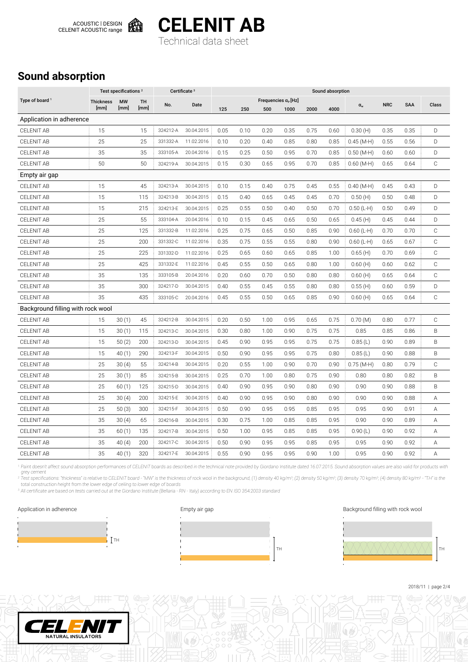

**CELENIT AB**

Technical data sheet

## **Sound absorption**

|                                   |                  | Test specifications <sup>2</sup> |           |          | Certificate <sup>3</sup> | Sound absorption |      |      |                             |      |      |              |            |      |              |
|-----------------------------------|------------------|----------------------------------|-----------|----------|--------------------------|------------------|------|------|-----------------------------|------|------|--------------|------------|------|--------------|
| Type of board <sup>1</sup>        | <b>Thickness</b> | <b>MW</b>                        | <b>TH</b> | No.      | Date                     |                  |      |      | Frequencies $\alpha_P$ [Hz] |      |      | $\alpha_{w}$ | <b>NRC</b> | SAA  | Class        |
|                                   | [mm]             | [mm]                             | [mm]      |          |                          | 125              | 250  | 500  | 1000                        | 2000 | 4000 |              |            |      |              |
| Application in adherence          |                  |                                  |           |          |                          |                  |      |      |                             |      |      |              |            |      |              |
| <b>CELENIT AB</b>                 | 15               |                                  | 15        | 324212-A | 30.04.2015               | 0.05             | 0.10 | 0.20 | 0.35                        | 0.75 | 0.60 | 0.30(H)      | 0.35       | 0.35 | D            |
| <b>CELENIT AB</b>                 | 25               |                                  | 25        | 331332-A | 11.02.2016               | 0.10             | 0.20 | 0.40 | 0.85                        | 0.80 | 0.85 | $0.45(M-H)$  | 0.55       | 0.56 | D            |
| <b>CELENIT AB</b>                 | 35               |                                  | 35        | 333105-A | 20.04.2016               | 0.15             | 0.25 | 0.50 | 0.95                        | 0.70 | 0.85 | $0.50$ (M-H) | 0.60       | 0.60 | D            |
| <b>CELENIT AB</b>                 | 50               |                                  | 50        | 324219-A | 30.04.2015               | 0.15             | 0.30 | 0.65 | 0.95                        | 0.70 | 0.85 | $0.60$ (M-H) | 0.65       | 0.64 | C            |
| Empty air gap                     |                  |                                  |           |          |                          |                  |      |      |                             |      |      |              |            |      |              |
| <b>CELENIT AB</b>                 | 15               |                                  | 45        | 324213-A | 30.04.2015               | 0.10             | 0.15 | 0.40 | 0.75                        | 0.45 | 0.55 | $0.40$ (M-H) | 0.45       | 0.43 | D            |
| <b>CELENIT AB</b>                 | 15               |                                  | 115       | 324213-B | 30.04.2015               | 0.15             | 0.40 | 0.65 | 0.45                        | 0.45 | 0.70 | 0.50(H)      | 0.50       | 0.48 | D            |
| <b>CELENIT AB</b>                 | 15               |                                  | 215       | 324213-E | 30.04.2015               | 0.25             | 0.55 | 0.50 | 0.40                        | 0.50 | 0.70 | $0.50$ (L-H) | 0.50       | 0.49 | D            |
| <b>CELENIT AB</b>                 | 25               |                                  | 55        | 333104-A | 20.04.2016               | 0.10             | 0.15 | 0.45 | 0.65                        | 0.50 | 0.65 | 0.45(H)      | 0.45       | 0.44 | D            |
| CELENIT AB                        | 25               |                                  | 125       | 331332-B | 11.02.2016               | 0.25             | 0.75 | 0.65 | 0.50                        | 0.85 | 0.90 | $0.60$ (L-H) | 0.70       | 0.70 | $\mathbb C$  |
| <b>CELENIT AB</b>                 | 25               |                                  | 200       | 331332-C | 11.02.2016               | 0.35             | 0.75 | 0.55 | 0.55                        | 0.80 | 0.90 | $0.60$ (L-H) | 0.65       | 0.67 | $\mathbb C$  |
| <b>CELENIT AB</b>                 | 25               |                                  | 225       | 331332-D | 11.02.2016               | 0.25             | 0.65 | 0.60 | 0.65                        | 0.85 | 1.00 | 0.65(H)      | 0.70       | 0.69 | $\mathbb C$  |
| <b>CELENIT AB</b>                 | 25               |                                  | 425       | 331332-E | 11.02.2016               | 0.45             | 0.55 | 0.50 | 0.65                        | 0.80 | 1.00 | 0.60(H)      | 0.60       | 0.62 | $\mathbb C$  |
| <b>CELENIT AB</b>                 | 35               |                                  | 135       | 333105-B | 20.04.2016               | 0.20             | 0.60 | 0.70 | 0.50                        | 0.80 | 0.80 | 0.60(H)      | 0.65       | 0.64 | $\mathbb C$  |
| <b>CELENIT AB</b>                 | 35               |                                  | 300       | 324217-D | 30.04.2015               | 0.40             | 0.55 | 0.45 | 0.55                        | 0.80 | 0.80 | 0.55(H)      | 0.60       | 0.59 | D            |
| <b>CELENIT AB</b>                 | 35               |                                  | 435       | 333105-C | 20.04.2016               | 0.45             | 0.55 | 0.50 | 0.65                        | 0.85 | 0.90 | 0.60(H)      | 0.65       | 0.64 | $\mathbb C$  |
| Background filling with rock wool |                  |                                  |           |          |                          |                  |      |      |                             |      |      |              |            |      |              |
| <b>CELENIT AB</b>                 | 15               | 30(1)                            | 45        | 324212-B | 30.04.2015               | 0.20             | 0.50 | 1.00 | 0.95                        | 0.65 | 0.75 | 0.70(M)      | 0.80       | 0.77 | $\mathbb C$  |
| <b>CELENIT AB</b>                 | 15               | 30(1)                            | 115       | 324213-C | 30.04.2015               | 0.30             | 0.80 | 1.00 | 0.90                        | 0.75 | 0.75 | 0.85         | 0.85       | 0.86 | B            |
| <b>CELENIT AB</b>                 | 15               | 50(2)                            | 200       | 324213-D | 30.04.2015               | 0.45             | 0.90 | 0.95 | 0.95                        | 0.75 | 0.75 | 0.85(L)      | 0.90       | 0.89 | B            |
| <b>CELENIT AB</b>                 | 15               | 40(1)                            | 290       | 324213-F | 30.04.2015               | 0.50             | 0.90 | 0.95 | 0.95                        | 0.75 | 0.80 | 0.85(L)      | 0.90       | 0.88 | B            |
| <b>CELENIT AB</b>                 | 25               | 30(4)                            | 55        | 324214-B | 30.04.2015               | 0.20             | 0.55 | 1.00 | 0.90                        | 0.70 | 0.90 | $0.75(M-H)$  | 0.80       | 0.79 | $\mathsf{C}$ |
| <b>CELENIT AB</b>                 | 25               | 30(1)                            | 85        | 324215-B | 30.04.2015               | 0.25             | 0.70 | 1.00 | 0.80                        | 0.75 | 0.90 | 0.80         | 0.80       | 0.82 | B            |
| <b>CELENIT AB</b>                 | 25               | 60(1)                            | 125       | 324215-D | 30.04.2015               | 0.40             | 0.90 | 0.95 | 0.90                        | 0.80 | 0.90 | 0.90         | 0.90       | 0.88 | B            |
| <b>CELENIT AB</b>                 | 25               | 30(4)                            | 200       | 324215-E | 30.04.2015               | 0.40             | 0.90 | 0.95 | 0.90                        | 0.80 | 0.90 | 0.90         | 0.90       | 0.88 | А            |
| <b>CELENIT AB</b>                 | 25               | 50(3)                            | 300       | 324215-F | 30.04.2015               | 0.50             | 0.90 | 0.95 | 0.95                        | 0.85 | 0.95 | 0.95         | 0.90       | 0.91 | Α            |
| <b>CELENIT AB</b>                 | 35               | 30(4)                            | 65        | 324216-B | 30.04.2015               | 0.30             | 0.75 | 1.00 | 0.85                        | 0.85 | 0.95 | 0.90         | 0.90       | 0.89 | Α            |
| <b>CELENIT AB</b>                 | 35               | 60(1)                            | 135       | 324217-B | 30.04.2015               | 0.50             | 1.00 | 0.95 | 0.85                        | 0.85 | 0.95 | 0.90(L)      | 0.90       | 0.92 | Α            |
| <b>CELENIT AB</b>                 | 35               | 40(4)                            | 200       | 324217-C | 30.04.2015               | 0.50             | 0.90 | 0.95 | 0.95                        | 0.85 | 0.95 | 0.95         | 0.90       | 0.92 | Α            |
| <b>CELENIT AB</b>                 | 35               | 40(1)                            | 320       | 324217-E | 30.04.2015               | 0.55             | 0.90 | 0.95 | 0.95                        | 0.90 | 1.00 | 0.95         | 0.90       | 0.92 | Α            |

<sup>1</sup> Paint doesn't affect sound absorption performances of CELENIT boards as described in the technical note provided by Giordano Institute dated 16.07.2015. Sound absorption values are also valid for products with grey cement<br><sup>2</sup> Test specifications: "thickness" is relative to CELENIT board - "MW" is the thickness of rock wool in the background, (1) density 40 kg/m<sup>3</sup>; (2) density 50 kg/m<sup>3</sup>; (3) density 70 kg/m<sup>3</sup>; (4) density 80 k

total construction height from the lower edge of ceiling to lower edge of boards

3 All certificate are based on tests carried out at the Giordano Institute (Bellaria - RN - Italy) according to EN ISO 354:2003 standard





#### Application in adherence **Empty air gap** Background filling with rock wool



2018/11 | page 2/4

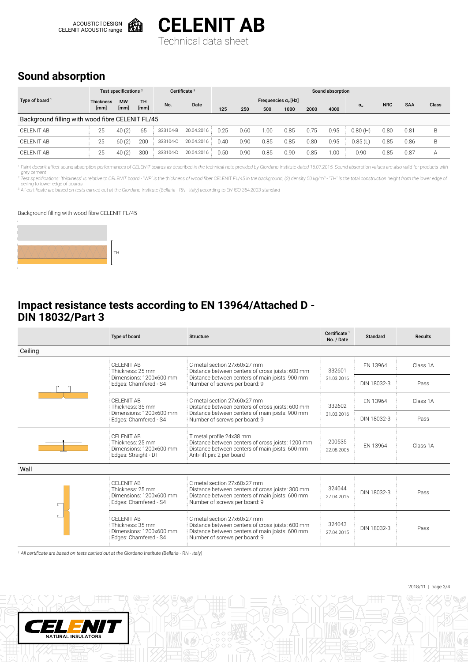



Technical data sheet

### **Sound absorption**

|                                                  | Test specifications <sup>2</sup> |       |           | Certificate <sup>3</sup> |            | Sound absorption |                                   |      |      |      |       |              |            |               |       |
|--------------------------------------------------|----------------------------------|-------|-----------|--------------------------|------------|------------------|-----------------------------------|------|------|------|-------|--------------|------------|---------------|-------|
| Type of board <sup>1</sup>                       | <b>Thickness</b><br><b>MW</b>    |       | <b>TH</b> |                          |            |                  | Frequencies $\alpha_{\rm P}$ [Hz] |      |      |      |       |              |            |               |       |
|                                                  | [mm]<br>[mm]                     |       | [mm]      | No.                      | Date       | 125              | 250                               | 500  | 1000 | 2000 | 4000  | $\alpha_{w}$ | <b>NRC</b> | <b>SAA</b>    | Class |
| Background filling with wood fibre CELENIT FL/45 |                                  |       |           |                          |            |                  |                                   |      |      |      |       |              |            |               |       |
| CELENIT AB                                       | 25                               | 40(2) | 65        | 333104-B                 | 20.04.2016 | 0.25             | 0.60                              | 1.00 | 0.85 | 0.75 | 0.95  | 0.80(H)      | 0.80       | $0.8^{\circ}$ | B     |
| CFI FNIT AB                                      | 25                               | 60(2) | 200       | 333104-C                 | 20.04.2016 | 0.40             | 0.90                              | 0.85 | 0.85 | 0.80 | 0.95  | 0.85(L)      | 0.85       | 0.86          | B     |
| <b>CELENIT AB</b>                                | 25                               | 40(2) | 300       | 333104-D                 | 20.04.2016 | 0.50             | 0.90                              | 0.85 | 0.90 | 0.85 | 0.001 | 0.90         | 0.85       | 0.87          |       |

<sup>1</sup> Paint doesn't affect sound absorption performances of CELENIT boards as described in the technical note provided by Giordano Institute dated 16.07.2015. Sound absorption values are also valid for products with grey cement

<sup>2</sup> Test specifications: "thickness" is relative to CELENIT board - "WF" is the thickness of wood fiber CELENIT FL/45 in the background, (2) density 50 kg/m<sup>3</sup> - "TH" is the total construction height from the lower edge of

<sup>3</sup> All certificate are based on tests carried out at the Giordano Institute (Bellaria - RN - Italy) according to EN ISO 354:2003 standard

#### Background filling with wood fibre CELENIT FL/45



#### **Impact resistance tests according to EN 13964/Attached D - DIN 18032/Part 3**

|         | Type of board                                                                                                                        | <b>Structure</b>                                                                                                                                                    | Certificate <sup>1</sup><br>No. / Date | Standard    | <b>Results</b> |
|---------|--------------------------------------------------------------------------------------------------------------------------------------|---------------------------------------------------------------------------------------------------------------------------------------------------------------------|----------------------------------------|-------------|----------------|
| Ceiling |                                                                                                                                      |                                                                                                                                                                     |                                        |             |                |
|         | CFI FNIT AB<br>Thickness: 25 mm                                                                                                      | C metal section 27x60x27 mm<br>Distance between centers of cross joists: 600 mm                                                                                     | 332601                                 | EN 13964    | Class 1A       |
|         | Distance between centers of main joists: 900 mm<br>Dimensions: 1200x600 mm<br>Number of screws per board: 9<br>Edges: Chamfered - S4 |                                                                                                                                                                     | 31.03.2016                             | DIN 18032-3 | Pass           |
|         | CFI FNIT AB<br>Thickness: 35 mm                                                                                                      | C metal section 27x60x27 mm<br>Distance between centers of cross joists: 600 mm                                                                                     | 332602                                 | EN 13964    | Class 1A       |
|         | Dimensions: 1200x600 mm<br>Edges: Chamfered - S4                                                                                     | Distance between centers of main joists: 900 mm<br>Number of screws per board: 9                                                                                    | 31.03.2016                             | DIN 18032-3 | Pass           |
|         | CFI FNIT AB<br>Thickness: 25 mm<br>Dimensions: 1200x600 mm<br>Edges: Straight - DT                                                   | T metal profile 24x38 mm<br>Distance between centers of cross joists: 1200 mm<br>Distance between centers of main joists: 600 mm<br>Anti-lift pin: 2 per board      | 200535<br>22.08.2005                   | EN 13964    | Class 1A       |
| Wall    |                                                                                                                                      |                                                                                                                                                                     |                                        |             |                |
| ⊏       | CFI FNIT AB<br>Thickness: 25 mm<br>Dimensions: 1200x600 mm<br>Edges: Chamfered - S4                                                  | C metal section 27x60x27 mm<br>Distance between centers of cross joists: 300 mm<br>Distance between centers of main joists: 600 mm<br>Number of screws per board: 9 |                                        | DIN 18032-3 | Pass           |
|         | CFI FNIT AB<br>Thickness: 35 mm<br>Dimensions: 1200x600 mm<br>Edges: Chamfered - S4                                                  | C metal section 27x60x27 mm<br>Distance between centers of cross joists: 600 mm<br>Distance between centers of main joists: 600 mm<br>Number of screws per board: 9 | 324043<br>27.04.2015                   | DIN 18032-3 | Pass           |

<sup>1</sup> All certificate are based on tests carried out at the Giordano Institute (Bellaria - RN - Italy)



2018/11 | page 3/4